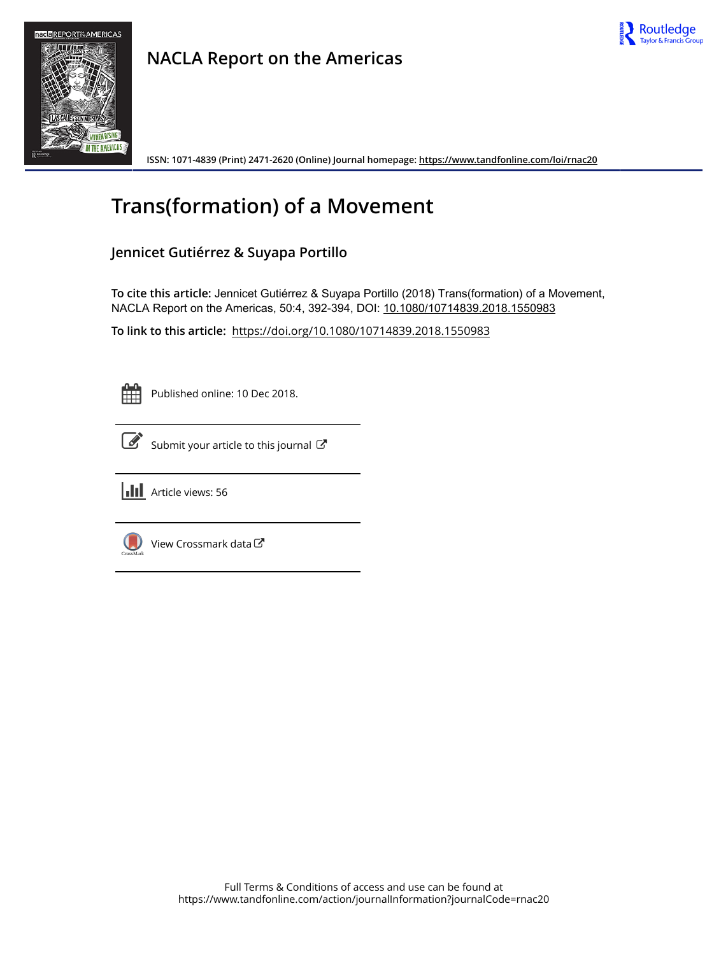



## **NACLA Report on the Americas**

**ISSN: 1071-4839 (Print) 2471-2620 (Online) Journal homepage:<https://www.tandfonline.com/loi/rnac20>**

## **Trans(formation) of a Movement**

### **Jennicet Gutiérrez & Suyapa Portillo**

**To cite this article:** Jennicet Gutiérrez & Suyapa Portillo (2018) Trans(formation) of a Movement, NACLA Report on the Americas, 50:4, 392-394, DOI: [10.1080/10714839.2018.1550983](https://www.tandfonline.com/action/showCitFormats?doi=10.1080/10714839.2018.1550983)

**To link to this article:** <https://doi.org/10.1080/10714839.2018.1550983>



Published online: 10 Dec 2018.



 $\overrightarrow{S}$  [Submit your article to this journal](https://www.tandfonline.com/action/authorSubmission?journalCode=rnac20&show=instructions)  $\overrightarrow{S}$ 



[View Crossmark data](http://crossmark.crossref.org/dialog/?doi=10.1080/10714839.2018.1550983&domain=pdf&date_stamp=2018-12-10)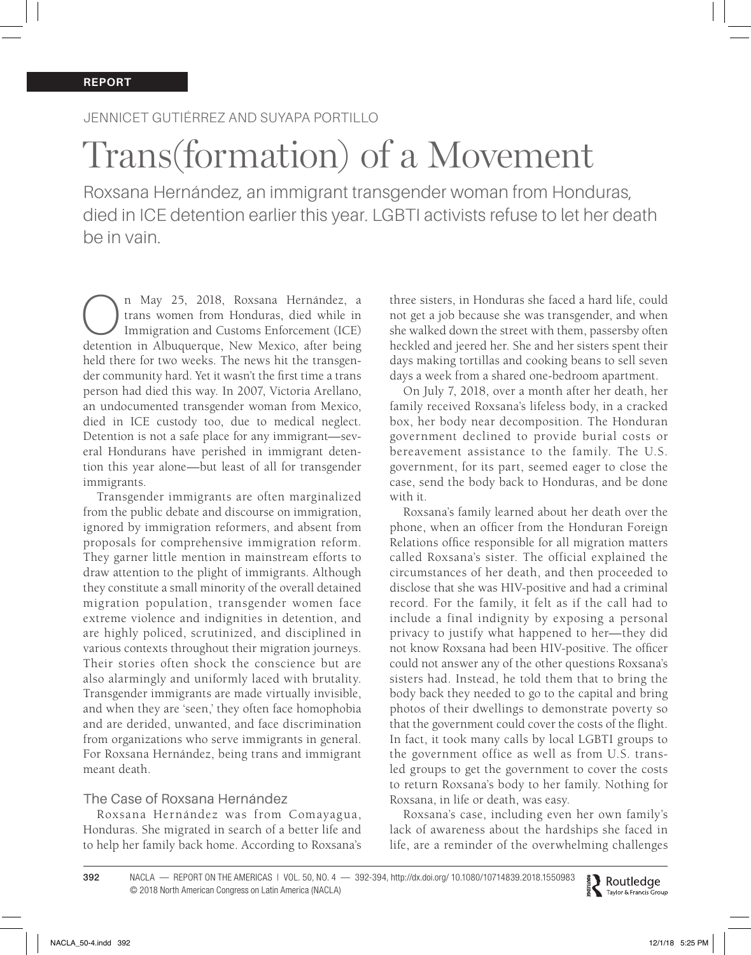### JENNICET GUTIÉRREZ AND SUYAPA PORTILLO

# Trans(formation) of a Movement

Roxsana Hernández, an immigrant transgender woman from Honduras, died in ICE detention earlier this year. LGBTI activists refuse to let her death be in vain.

n May 25, 2018, Roxsana Hernández, a<br>trans women from Honduras, died while in<br>Immigration and Customs Enforcement (ICE) trans women from Honduras, died while in Immigration and Customs Enforcement (ICE) detention in Albuquerque, New Mexico, after being held there for two weeks. The news hit the transgender community hard. Yet it wasn't the first time a trans person had died this way. In 2007, Victoria Arellano, an undocumented transgender woman from Mexico, died in ICE custody too, due to medical neglect. Detention is not a safe place for any immigrant—several Hondurans have perished in immigrant detention this year alone—but least of all for transgender immigrants.

Transgender immigrants are often marginalized from the public debate and discourse on immigration, ignored by immigration reformers, and absent from proposals for comprehensive immigration reform. They garner little mention in mainstream efforts to draw attention to the plight of immigrants. Although they constitute a small minority of the overall detained migration population, transgender women face extreme violence and indignities in detention, and are highly policed, scrutinized, and disciplined in various contexts throughout their migration journeys. Their stories often shock the conscience but are also alarmingly and uniformly laced with brutality. Transgender immigrants are made virtually invisible, and when they are 'seen,' they often face homophobia and are derided, unwanted, and face discrimination from organizations who serve immigrants in general. For Roxsana Hernández, being trans and immigrant meant death.

### The Case of Roxsana Hernández

Roxsana Hernández was from Comayagua, Honduras. She migrated in search of a better life and to help her family back home. According to Roxsana's three sisters, in Honduras she faced a hard life, could not get a job because she was transgender, and when she walked down the street with them, passersby often heckled and jeered her. She and her sisters spent their days making tortillas and cooking beans to sell seven days a week from a shared one-bedroom apartment.

On July 7, 2018, over a month after her death, her family received Roxsana's lifeless body, in a cracked box, her body near decomposition. The Honduran government declined to provide burial costs or bereavement assistance to the family. The U.S. government, for its part, seemed eager to close the case, send the body back to Honduras, and be done with it.

Roxsana's family learned about her death over the phone, when an officer from the Honduran Foreign Relations office responsible for all migration matters called Roxsana's sister. The official explained the circumstances of her death, and then proceeded to disclose that she was HIV-positive and had a criminal record. For the family, it felt as if the call had to include a final indignity by exposing a personal privacy to justify what happened to her—they did not know Roxsana had been HIV-positive. The officer could not answer any of the other questions Roxsana's sisters had. Instead, he told them that to bring the body back they needed to go to the capital and bring photos of their dwellings to demonstrate poverty so that the government could cover the costs of the flight. In fact, it took many calls by local LGBTI groups to the government office as well as from U.S. transled groups to get the government to cover the costs to return Roxsana's body to her family. Nothing for Roxsana, in life or death, was easy.

Roxsana's case, including even her own family's lack of awareness about the hardships she faced in life, are a reminder of the overwhelming challenges

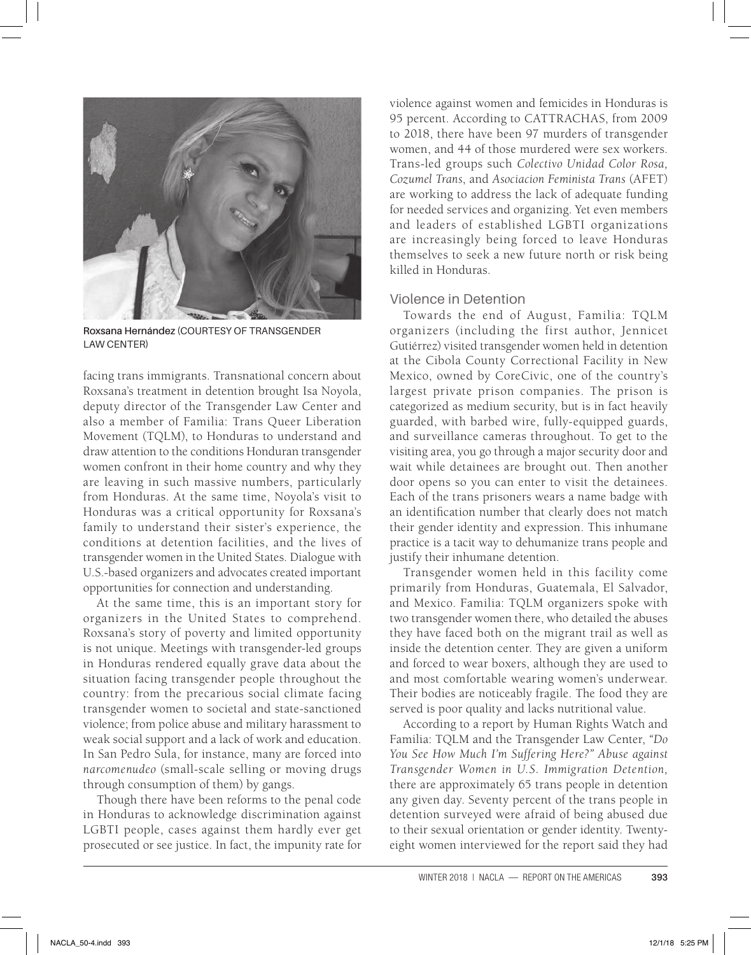

**Roxsana Hernández (**COURTESY OF TRANSGENDER LAW CENTER**)**

facing trans immigrants. Transnational concern about Roxsana's treatment in detention brought Isa Noyola, deputy director of the Transgender Law Center and also a member of Familia: Trans Queer Liberation Movement (TQLM), to Honduras to understand and draw attention to the conditions Honduran transgender women confront in their home country and why they are leaving in such massive numbers, particularly from Honduras. At the same time, Noyola's visit to Honduras was a critical opportunity for Roxsana's family to understand their sister's experience, the conditions at detention facilities, and the lives of transgender women in the United States. Dialogue with U.S.-based organizers and advocates created important opportunities for connection and understanding.

At the same time, this is an important story for organizers in the United States to comprehend. Roxsana's story of poverty and limited opportunity is not unique. Meetings with transgender-led groups in Honduras rendered equally grave data about the situation facing transgender people throughout the country: from the precarious social climate facing transgender women to societal and state-sanctioned violence; from police abuse and military harassment to weak social support and a lack of work and education. In San Pedro Sula, for instance, many are forced into *narcomenudeo* (small-scale selling or moving drugs through consumption of them) by gangs.

Though there have been reforms to the penal code in Honduras to acknowledge discrimination against LGBTI people, cases against them hardly ever get prosecuted or see justice. In fact, the impunity rate for violence against women and femicides in Honduras is 95 percent. According to CATTRACHAS, from 2009 to 2018, there have been 97 murders of transgender women, and 44 of those murdered were sex workers. Trans-led groups such *Colectivo Unidad Color Rosa, Cozumel Trans*, and *Asociacion Feminista Trans* (AFET) are working to address the lack of adequate funding for needed services and organizing. Yet even members and leaders of established LGBTI organizations are increasingly being forced to leave Honduras themselves to seek a new future north or risk being killed in Honduras.

### Violence in Detention

Towards the end of August, Familia: TQLM organizers (including the first author, Jennicet Gutiérrez) visited transgender women held in detention at the Cibola County Correctional Facility in New Mexico, owned by CoreCivic, one of the country's largest private prison companies. The prison is categorized as medium security, but is in fact heavily guarded, with barbed wire, fully-equipped guards, and surveillance cameras throughout. To get to the visiting area, you go through a major security door and wait while detainees are brought out. Then another door opens so you can enter to visit the detainees. Each of the trans prisoners wears a name badge with an identification number that clearly does not match their gender identity and expression. This inhumane practice is a tacit way to dehumanize trans people and justify their inhumane detention.

Transgender women held in this facility come primarily from Honduras, Guatemala, El Salvador, and Mexico. Familia: TQLM organizers spoke with two transgender women there, who detailed the abuses they have faced both on the migrant trail as well as inside the detention center. They are given a uniform and forced to wear boxers, although they are used to and most comfortable wearing women's underwear. Their bodies are noticeably fragile. The food they are served is poor quality and lacks nutritional value.

According to a report by Human Rights Watch and Familia: TQLM and the Transgender Law Center, *"Do You See How Much I'm Suffering Here?" Abuse against Transgender Women in U.S. Immigration Detention,*  there are approximately 65 trans people in detention any given day. Seventy percent of the trans people in detention surveyed were afraid of being abused due to their sexual orientation or gender identity. Twentyeight women interviewed for the report said they had